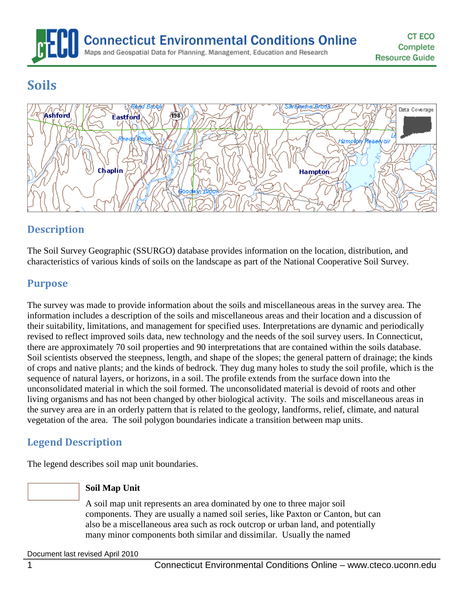**Connecticut Environmental Conditions Online** Maps and Geospatial Data for Planning, Management, Education and Research

# **Soils**



# **Description**

The Soil Survey Geographic (SSURGO) database provides information on the location, distribution, and characteristics of various kinds of soils on the landscape as part of the National Cooperative Soil Survey.

#### **Purpose**

The survey was made to provide information about the soils and miscellaneous areas in the survey area. The information includes a description of the soils and miscellaneous areas and their location and a discussion of their suitability, limitations, and management for specified uses. Interpretations are dynamic and periodically revised to reflect improved soils data, new technology and the needs of the soil survey users. In Connecticut, there are approximately 70 soil properties and 90 interpretations that are contained within the soils database. Soil scientists observed the steepness, length, and shape of the slopes; the general pattern of drainage; the kinds of crops and native plants; and the kinds of bedrock. They dug many holes to study the soil profile, which is the sequence of natural layers, or horizons, in a soil. The profile extends from the surface down into the unconsolidated material in which the soil formed. The unconsolidated material is devoid of roots and other living organisms and has not been changed by other biological activity. The soils and miscellaneous areas in the survey area are in an orderly pattern that is related to the geology, landforms, relief, climate, and natural vegetation of the area. The soil polygon boundaries indicate a transition between map units.

# **Legend Description**

The legend describes soil map unit boundaries.

#### **Soil Map Unit**

A soil map unit represents an area dominated by one to three major soil components. They are usually a named soil series, like Paxton or Canton, but can also be a miscellaneous area such as rock outcrop or urban land, and potentially many minor components both similar and dissimilar. Usually the named

Document last revised April 2010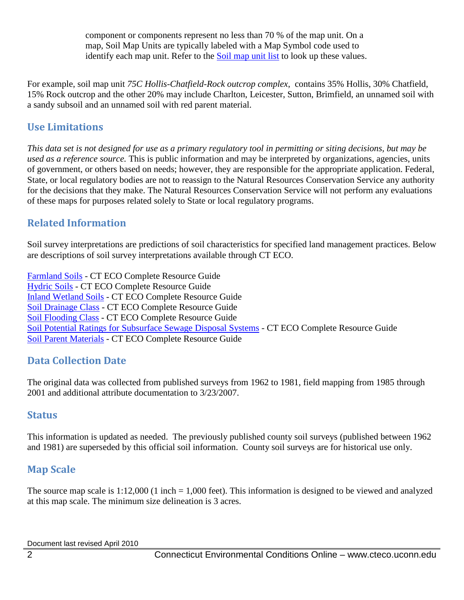component or components represent no less than 70 % of the map unit. On a map, Soil Map Units are typically labeled with a Map Symbol code used to identify each map unit. Refer to the [Soil map unit list](http://www.cteco.uconn.edu/guides/Soils_Map_Units.htm) to look up these values.

For example, soil map unit *75C Hollis-Chatfield-Rock outcrop complex*, contains 35% Hollis, 30% Chatfield, 15% Rock outcrop and the other 20% may include Charlton, Leicester, Sutton, Brimfield, an unnamed soil with a sandy subsoil and an unnamed soil with red parent material.

#### **Use Limitations**

*This data set is not designed for use as a primary regulatory tool in permitting or siting decisions, but may be used as a reference source.* This is public information and may be interpreted by organizations, agencies, units of government, or others based on needs; however, they are responsible for the appropriate application. Federal, State, or local regulatory bodies are not to reassign to the Natural Resources Conservation Service any authority for the decisions that they make. The Natural Resources Conservation Service will not perform any evaluations of these maps for purposes related solely to State or local regulatory programs.

### **Related Information**

Soil survey interpretations are predictions of soil characteristics for specified land management practices. Below are descriptions of soil survey interpretations available through CT ECO.

[Farmland Soils](http://www.cteco.uconn.edu/guides/resource/CT_ECO_Resource_Guide_Soils_Farmland.pdf) - CT ECO Complete Resource Guide [Hydric Soils](http://www.cteco.uconn.edu/guides/resource/CT_ECO_Resource_Guide_Soils_Hydric.pdf) - CT ECO Complete Resource Guide [Inland Wetland Soils](http://www.cteco.uconn.edu/guides/resource/CT_ECO_Resource_Guide_Soils_Inland_Wetland.pdf) - CT ECO Complete Resource Guide [Soil Drainage Class](http://www.cteco.uconn.edu/guides/resource/CT_ECO_Resource_Guide_Soils_Drainage.pdf) - CT ECO Complete Resource Guide [Soil Flooding Class](http://www.cteco.uconn.edu/guides/resource/CT_ECO_Resource_Guide_Soils_Flooding.pdf) - CT ECO Complete Resource Guide [Soil Potential Ratings for Subsurface Sewage Disposal Systems](http://www.cteco.uconn.edu/guides/resource/CT_ECO_Resource_Guide_Soils_Potential_SSDS.pdf) - CT ECO Complete Resource Guide [Soil Parent Materials](http://www.cteco.uconn.edu/guides/resource/CT_ECO_Resource_Guide_Soils_Parent_Material.pdf) - CT ECO Complete Resource Guide

# **Data Collection Date**

The original data was collected from published surveys from 1962 to 1981, field mapping from 1985 through 2001 and additional attribute documentation to 3/23/2007.

#### **Status**

This information is updated as needed. The previously published county soil surveys (published between 1962 and 1981) are superseded by this official soil information. County soil surveys are for historical use only.

# **Map Scale**

The source map scale is 1:12,000 (1 inch = 1,000 feet). This information is designed to be viewed and analyzed at this map scale. The minimum size delineation is 3 acres.

Document last revised April 2010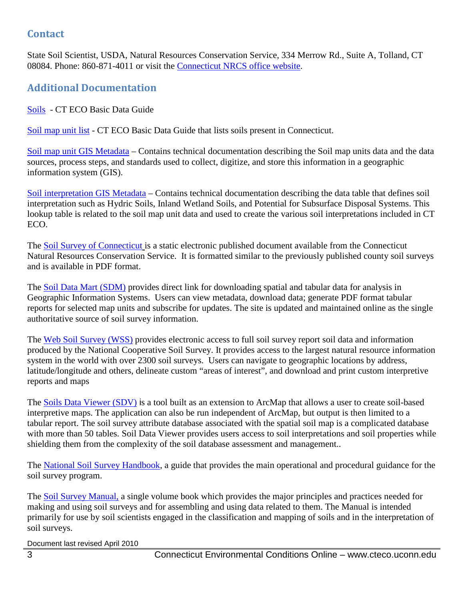#### **Contact**

State Soil Scientist, USDA, Natural Resources Conservation Service, 334 Merrow Rd., Suite A, Tolland, CT 08084. Phone: 860-871-4011 or visit the [Connecticut NRCS office website.](http://www.ct.nrcs.usda.gov/)

# **Additional Documentation**

[Soils](http://www.cteco.uconn.edu/guides/Soils.htm) - CT ECO Basic Data Guide

[Soil map unit list](http://www.cteco.uconn.edu/guides/Soils_Map_Units.htm) - CT ECO Basic Data Guide that lists soils present in Connecticut.

[Soil map unit GIS Metadata](http://www.cteco.uconn.edu/metadata/dep/document/SOILS_POLY_FGDC_Plus.htm) – Contains technical documentation describing the Soil map units data and the data sources, process steps, and standards used to collect, digitize, and store this information in a geographic information system (GIS).

[Soil interpretation GIS Metadata](http://www.cteco.uconn.edu/metadata/dep/document/SOILS_POLY_DATA_FGDC_Plus.htm) – Contains technical documentation describing the data table that defines soil interpretation such as Hydric Soils, Inland Wetland Soils, and Potential for Subsurface Disposal Systems. This lookup table is related to the soil map unit data and used to create the various soil interpretations included in CT ECO.

The [Soil Survey of Connecticut](http://cteco.uconn.edu/docs/usda/connecticut.pdf) is a static electronic published document available from the Connecticut Natural Resources Conservation Service. It is formatted similar to the previously published county soil surveys and is available in PDF format.

The [Soil Data Mart \(SDM\)](http://soildatamart.nrcs.usda.gov/) provides direct link for downloading spatial and tabular data for analysis in Geographic Information Systems. Users can view metadata, download data; generate PDF format tabular reports for selected map units and subscribe for updates. The site is updated and maintained online as the single authoritative source of soil survey information.

The [Web Soil Survey \(WSS\)](http://websoilsurvey.nrcs.usda.gov/app/) provides electronic access to full soil survey report soil data and information produced by the National Cooperative Soil Survey. It provides access to the largest natural resource information system in the world with over 2300 soil surveys. Users can navigate to geographic locations by address, latitude/longitude and others, delineate custom "areas of interest", and download and print custom interpretive reports and maps

The [Soils Data Viewer](http://soildataviewer.nrcs.usda.gov/) (SDV) is a tool built as an extension to ArcMap that allows a user to create soil-based interpretive maps. The application can also be run independent of ArcMap, but output is then limited to a tabular report. The soil survey attribute database associated with the spatial soil map is a complicated database with more than 50 tables. Soil Data Viewer provides users access to soil interpretations and soil properties while shielding them from the complexity of the soil database assessment and management..

The [National Soil Survey Handbook,](http://soils.usda.gov/technical/handbook/) a guide that provides the main operational and procedural guidance for the soil survey program.

The [Soil Survey Manual,](http://soils.usda.gov/technical/manual/) a single volume book which provides the major principles and practices needed for making and using soil surveys and for assembling and using data related to them. The Manual is intended primarily for use by soil scientists engaged in the classification and mapping of soils and in the interpretation of soil surveys.

Document last revised April 2010